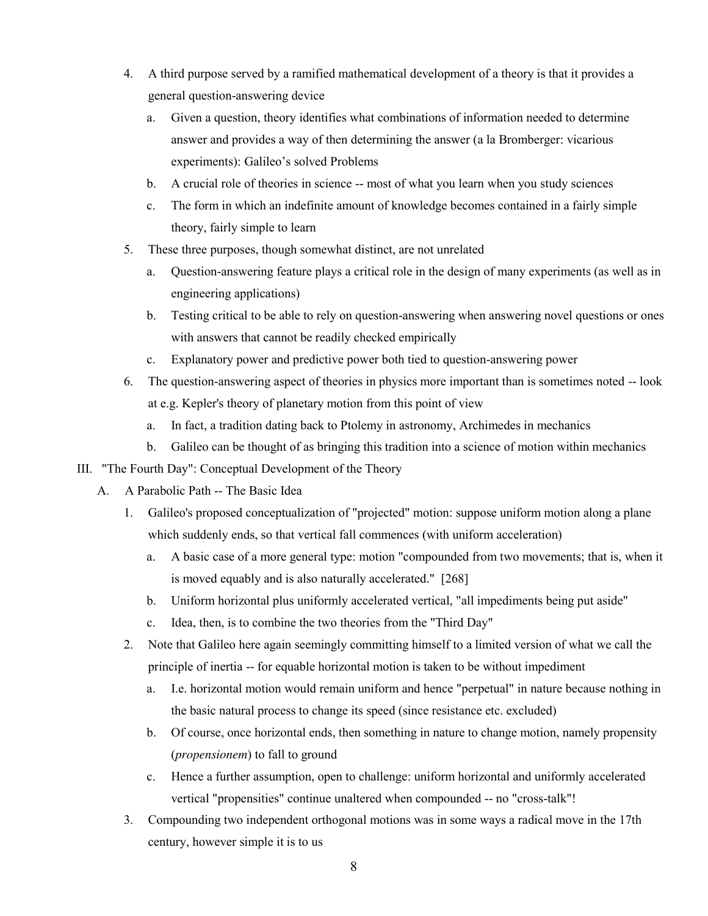- 4. A third purpose served by a ramified mathematical development of a theory is that it provides a general question-answering device
	- a. Given a question, theory identifies what combinations of information needed to determine answer and provides a way of then determining the answer (a la Bromberger: vicarious experiments): Galileo's solved Problems
	- b. A crucial role of theories in science -- most of what you learn when you study sciences
	- c. The form in which an indefinite amount of knowledge becomes contained in a fairly simple theory, fairly simple to learn
- 5. These three purposes, though somewhat distinct, are not unrelated
	- a. Question-answering feature plays a critical role in the design of many experiments (as well as in engineering applications)
	- b. Testing critical to be able to rely on question-answering when answering novel questions or ones with answers that cannot be readily checked empirically
	- c. Explanatory power and predictive power both tied to question-answering power
- 6. The question-answering aspect of theories in physics more important than is sometimes noted -- look at e.g. Kepler's theory of planetary motion from this point of view
	- a. In fact, a tradition dating back to Ptolemy in astronomy, Archimedes in mechanics
	- b. Galileo can be thought of as bringing this tradition into a science of motion within mechanics
- III. "The Fourth Day": Conceptual Development of the Theory
	- A. A Parabolic Path -- The Basic Idea
		- 1. Galileo's proposed conceptualization of "projected" motion: suppose uniform motion along a plane which suddenly ends, so that vertical fall commences (with uniform acceleration)
			- a. A basic case of a more general type: motion "compounded from two movements; that is, when it is moved equably and is also naturally accelerated." [268]
			- b. Uniform horizontal plus uniformly accelerated vertical, "all impediments being put aside"
			- c. Idea, then, is to combine the two theories from the "Third Day"
		- 2. Note that Galileo here again seemingly committing himself to a limited version of what we call the principle of inertia -- for equable horizontal motion is taken to be without impediment
			- a. I.e. horizontal motion would remain uniform and hence "perpetual" in nature because nothing in the basic natural process to change its speed (since resistance etc. excluded)
			- b. Of course, once horizontal ends, then something in nature to change motion, namely propensity (*propensionem*) to fall to ground
			- c. Hence a further assumption, open to challenge: uniform horizontal and uniformly accelerated vertical "propensities" continue unaltered when compounded -- no "cross-talk"!
		- 3. Compounding two independent orthogonal motions was in some ways a radical move in the 17th century, however simple it is to us